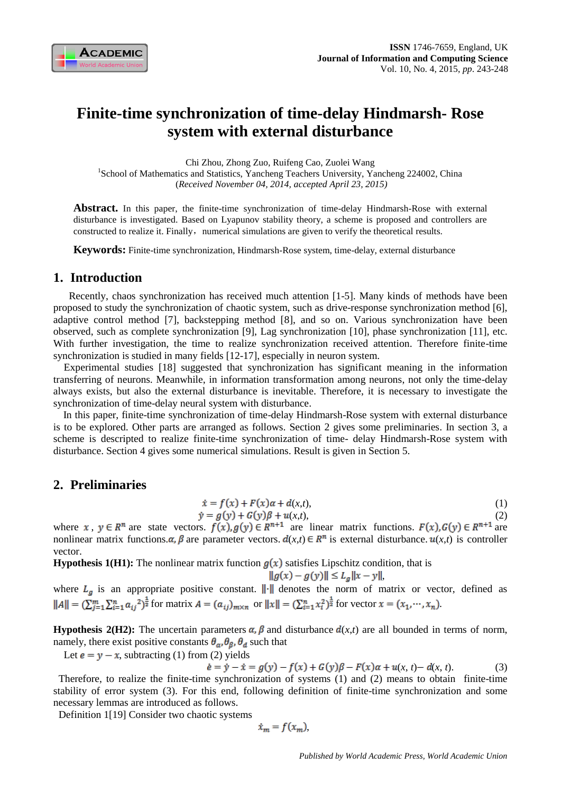

# **Finite-time synchronization of time-delay Hindmarsh- Rose system with external disturbance**

Chi Zhou, Zhong Zuo, Ruifeng Cao, Zuolei Wang

<sup>1</sup>School of Mathematics and Statistics, Yancheng Teachers University, Yancheng 224002, China (*Received November 04, 2014, accepted April 23, 2015)*

**Abstract.** In this paper, the finite-time synchronization of time-delay Hindmarsh-Rose with external disturbance is investigated. Based on Lyapunov stability theory, a scheme is proposed and controllers are constructed to realize it. Finally, numerical simulations are given to verify the theoretical results.

**Keywords:** Finite-time synchronization, Hindmarsh-Rose system, time-delay, external disturbance

### **1. Introduction**

Recently, chaos synchronization has received much attention [1-5]. Many kinds of methods have been proposed to study the synchronization of chaotic system, such as drive-response synchronization method [6], adaptive control method [7], backstepping method [8], and so on. Various synchronization have been observed, such as complete synchronization [9], Lag synchronization [10], phase synchronization [11], etc. With further investigation, the time to realize synchronization received attention. Therefore finite-time synchronization is studied in many fields [12-17], especially in neuron system.

Experimental studies [18] suggested that synchronization has significant meaning in the information transferring of neurons. Meanwhile, in information transformation among neurons, not only the time-delay always exists, but also the external disturbance is inevitable. Therefore, it is necessary to investigate the synchronization of time-delay neural system with disturbance.

In this paper, finite-time synchronization of time-delay Hindmarsh-Rose system with external disturbance is to be explored. Other parts are arranged as follows. Section 2 gives some preliminaries. In section 3, a scheme is descripted to realize finite-time synchronization of time- delay Hindmarsh-Rose system with disturbance. Section 4 gives some numerical simulations. Result is given in Section 5.

## **2. Preliminaries**

$$
\dot{x} = f(x) + F(x)\alpha + d(x,t),\tag{1}
$$

$$
\dot{y} = g(y) + G(y)\beta + u(x,t),\tag{2}
$$

where  $x, y \in R^n$  are state vectors.  $f(x), g(y) \in R^{n+1}$  are linear matrix functions.  $F(x), G(y) \in R^{n+1}$  are nonlinear matrix functions.  $\alpha$ ,  $\beta$  are parameter vectors.  $d(x,t) \in \mathbb{R}^n$  is external disturbance.  $u(x,t)$  is controller vector.

**Hypothesis 1(H1):** The nonlinear matrix function  $g(x)$  satisfies Lipschitz condition, that is

$$
||g(x) - g(y)|| \le L_g ||x - y||,
$$

where  $L_g$  is an appropriate positive constant.  $\|\cdot\|$  denotes the norm of matrix or vector, defined as  $||A|| = (\sum_{i=1}^{m} \sum_{i=1}^{n} a_{ij}^2)^{\frac{1}{2}}$  for matrix  $A = (a_{ij})_{m \times n}$  or  $||x|| = (\sum_{i=1}^{n} x_i^2)^{\frac{1}{2}}$  for vector  $x = (x_1, \dots, x_n)$ .

**Hypothesis 2(H2):** The uncertain parameters  $\alpha$ ,  $\beta$  and disturbance  $d(x,t)$  are all bounded in terms of norm, namely, there exist positive constants  $\theta_{\alpha}, \theta_{\beta}, \theta_{d}$  such that

Let  $e = y - x$ , subtracting (1) from (2) yields

$$
\dot{e} = \dot{y} - \dot{x} = g(y) - f(x) + G(y)\beta - F(x)\alpha + u(x, t) - d(x, t).
$$
 (3)

Therefore, to realize the finite-time synchronization of systems (1) and (2) means to obtain finite-time stability of error system (3). For this end, following definition of finite-time synchronization and some necessary lemmas are introduced as follows.

Definition 1[19] Consider two chaotic systems

$$
\dot{x}_m = f(x_m),
$$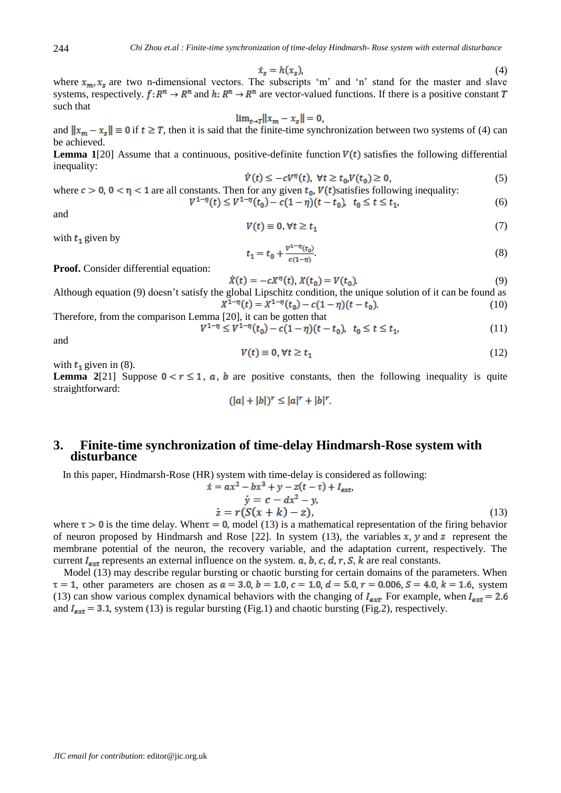$$
\dot{x}_s = h(x_s),\tag{4}
$$

where  $x_m$ ,  $x_s$  are two n-dimensional vectors. The subscripts 'm' and 'n' stand for the master and slave systems, respectively.  $f: R^n \to R^n$  and  $h: R^n \to R^n$  are vector-valued functions. If there is a positive constant T such that

$$
\|\mathbf{m}_{t\to T}\|x_m - x_s\| = 0,
$$

and  $||x_m - x_s|| \equiv 0$  if  $t \geq T$ , then it is said that the finite-time synchronization between two systems of (4) can be achieved.

**Lemma 1**[20] Assume that a continuous, positive-definite function  $V(t)$  satisfies the following differential inequality:

$$
\dot{V}(t) \le -cV^{\eta}(t), \ \forall t \ge t_0, V(t_0) \ge 0,
$$
\n<sup>(5)</sup>

where  $c > 0$ ,  $0 < \eta < 1$  are all constants. Then for any given  $t_0$ ,  $V(t)$  satisfies following inequality:  $V^{1-\eta}(t) \leq V^{1-\eta}(t_0) - c(1-\eta)(t-t_0), t_0 \leq t \leq t_1,$  (6)

and

$$
V(t) \equiv 0, \forall t \ge t_1 \tag{7}
$$

with  $t_1$  given by

$$
t_1 = t_0 + \frac{v^{1-\eta}(t_0)}{c(1-\eta)}.\tag{8}
$$

**Proof.** Consider differential equation:

$$
\dot{X}(t) = -cX^{\eta}(t), X(t_0) = V(t_0).
$$
\n(9)

Although equation (9) doesn't satisfy the global Lipschitz condition, the unique solution of it can be found as  $X^{1-\eta}(t) = X^{1-\eta}(t_0) - c(1-\eta)(t-t_0)$ . (10)  $(10)$ 

Therefore, from the comparison Lemma [20], it can be gotten that  $, t_0 \le t \le t_1,$  (11)

and

$$
V(t) \equiv 0, \forall t \ge t_1 \tag{12}
$$

with  $t_1$  given in (8).

**Lemma** 2[21] Suppose  $0 < r \le 1$ , a, b are positive constants, then the following inequality is quite straightforward:

 $(|a|+|b|)^r \leq |a|^r + |b|^r$ .

## **3. Finite-time synchronization of time-delay Hindmarsh-Rose system with disturbance**

In this paper, Hindmarsh-Rose (HR) system with time-delay is considered as following:

$$
\begin{aligned}\n\dot{x} &= ax^2 - bx^3 + y - z(t - \tau) + I_{ext}, \\
\dot{y} &= c - dx^2 - y, \\
\dot{z} &= r(S(x + k) - z),\n\end{aligned} \tag{13}
$$

where  $\tau > 0$  is the time delay. When  $\tau = 0$ , model (13) is a mathematical representation of the firing behavior of neuron proposed by Hindmarsh and Rose [22]. In system (13), the variables  $x$ ,  $y$  and  $z$  represent the membrane potential of the neuron, the recovery variable, and the adaptation current, respectively. The current  $I_{ext}$  represents an external influence on the system.  $a, b, c, d, r, S, k$  are real constants.

Model (13) may describe regular bursting or chaotic bursting for certain domains of the parameters. When  $\tau = 1$ , other parameters are chosen as  $a = 3.0$ ,  $b = 1.0$ ,  $c = 1.0$ ,  $d = 5.0$ ,  $r = 0.006$ ,  $S = 4.0$ ,  $k = 1.6$ , system (13) can show various complex dynamical behaviors with the changing of  $I_{ext}$ . For example, when  $I_{ext} = 2.6$ and  $I_{ext} = 3.1$ , system (13) is regular bursting (Fig.1) and chaotic bursting (Fig.2), respectively.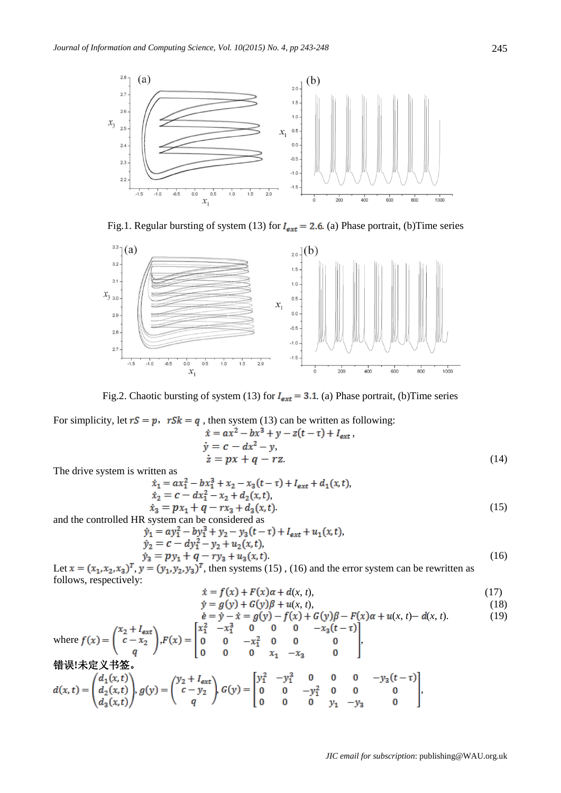

Fig.1. Regular bursting of system (13) for  $I_{ext} = 2.6$ . (a) Phase portrait, (b)Time series



Fig.2. Chaotic bursting of system (13) for  $I_{ext} = 3.1$ . (a) Phase portrait, (b)Time series

For simplicity, let 
$$
rS = p
$$
,  $rSk = q$ , then system (13) can be written as following:  
\n
$$
\dot{x} = ax^2 - bx^3 + y - z(t - \tau) + I_{ext},
$$
\n
$$
\dot{y} = c - dx^2 - y,
$$
\n
$$
\dot{z} = px + q - rz.
$$
\n(14)

The drive system is written as

$$
\begin{aligned}\n\dot{x}_1 &= ax_1^2 - bx_1^3 + x_2 - x_3(t - \tau) + I_{ext} + d_1(x, t), \\
\dot{x}_2 &= c - dx_1^2 - x_2 + d_2(x, t), \\
\dot{x}_3 &= px_1 + q - rx_3 + d_3(x, t).\n\end{aligned} \tag{15}
$$

and the controlled HR system can be considered as

$$
\begin{aligned}\n\dot{y}_1 &= ay_1^2 - by_1^3 + y_2 - y_3(t - \tau) + I_{ext} + u_1(x, t), \\
\dot{y}_2 &= c - dy_1^2 - y_2 + u_2(x, t), \\
\dot{y}_3 &= py_1 + q - ry_3 + u_3(x, t).\n\end{aligned} \tag{16}
$$

Let  $x = (x_1, x_2, x_3)^T$ ,  $y = (y_1, y_2, y_3)^T$ , then systems (15), (16) and the error system can be rewritten as follows, respectively:

$$
\dot{x} = f(x) + F(x)\alpha + d(x, t),
$$
\n(17)

$$
\dot{y} = g(y) + G(y)\beta + u(x, t),
$$
\n(18)  
\n
$$
\dot{e} = \dot{y} - \dot{x} = g(y) - f(x) + G(y)\beta - F(x)\alpha + u(x, t) - d(x, t).
$$
\n(19)

where 
$$
f(x) = \begin{pmatrix} x_2 + I_{ext} \\ c - x_2 \\ q \end{pmatrix}
$$
,  $F(x) = \begin{bmatrix} x_1^2 & -x_1^3 & 0 & 0 & 0 & -x_3(t - \tau) \\ 0 & 0 & -x_1^2 & 0 & 0 & 0 \\ 0 & 0 & 0 & x_1 & -x_3 & 0 \end{bmatrix}$ ,  
\n
$$
\begin{aligned}\n\text{#} \mathbb{R} \cdot \text{#} \mathbb{R} \times \text{#} \cdot \text{#} \cdot \text{#} \\
d(x, t) = \begin{pmatrix} d_1(x, t) \\ d_2(x, t) \\ d_3(x, t) \end{pmatrix}, g(y) = \begin{pmatrix} y_2 + I_{ext} \\ c - y_2 \\ q \end{pmatrix}, G(y) = \begin{bmatrix} y_1^2 & -y_1^3 & 0 & 0 & 0 & -y_3(t - \tau) \\ 0 & 0 & -y_1^2 & 0 & 0 & 0 \\ 0 & 0 & 0 & y_1 & -y_3 & 0 \end{bmatrix},\n\end{aligned}
$$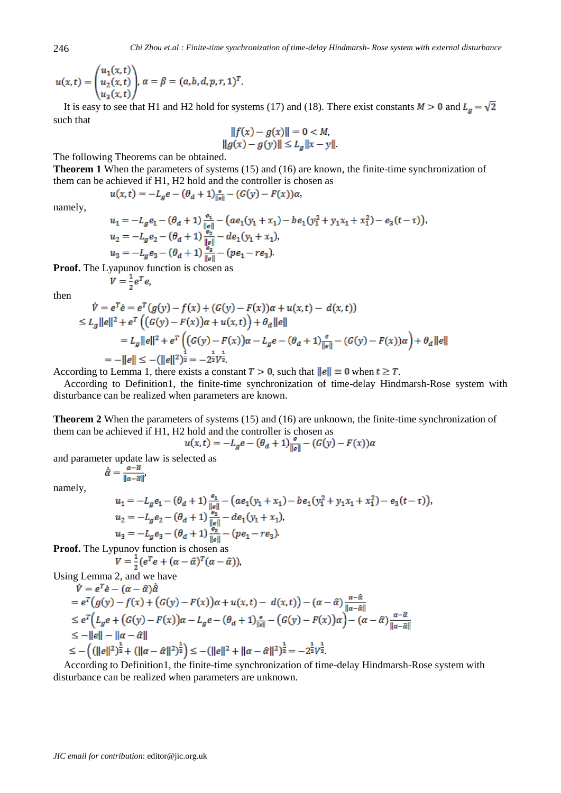$$
u(x,t) = \begin{pmatrix} u_1(x,t) \\ u_2(x,t) \\ u_3(x,t) \end{pmatrix}, \alpha = \beta = (a,b,d,p,r,1)^T.
$$

It is easy to see that H1 and H2 hold for systems (17) and (18). There exist constants  $M > 0$  and  $L_g = \sqrt{2}$ such that

$$
||f(x) - g(x)|| = 0 < M,
$$
\n
$$
||g(x) - g(y)|| \le L_g ||x - y||.
$$

The following Theorems can be obtained.

**Theorem 1** When the parameters of systems (15) and (16) are known, the finite-time synchronization of them can be achieved if H1, H2 hold and the controller is chosen as

 $u(x,t) = -L_g e - (\theta_d + 1) \frac{e}{\|e\|} - (G(y) - F(x))\alpha,$ 

namely,

$$
u_1 = -L_g e_1 - (\theta_d + 1) \frac{e_1}{\|e\|} - (ae_1(y_1 + x_1) - be_1(y_1^2 + y_1x_1 + x_1^2) - e_3(t - \tau)),
$$
  
\n
$$
u_2 = -L_g e_2 - (\theta_d + 1) \frac{e_2}{\|e\|} - de_1(y_1 + x_1),
$$
  
\n
$$
u_3 = -L_g e_3 - (\theta_d + 1) \frac{e_3}{\|e\|} - (pe_1 - re_3).
$$

**Proof.** The Lyapunov function is chosen as  $V=\frac{1}{2}e^T e$ 

then

$$
\begin{split} \dot{V} &= e^{T} \dot{e} = e^{T} (g(y) - f(x) + (G(y) - F(x)) \alpha + u(x, t) - d(x, t)) \\ &\le L_g \|e\|^2 + e^{T} \left( (G(y) - F(x)) \alpha + u(x, t) \right) + \theta_d \|e\| \\ &= L_g \|e\|^2 + e^{T} \left( (G(y) - F(x)) \alpha - L_g e - (\theta_d + 1) \frac{e}{\|e\|} - (G(y) - F(x)) \alpha \right) + \theta_d \|e\| \\ &= -\|e\| \le -(\|e\|^2)^{\frac{1}{2}} = -2^{\frac{1}{2}} V^{\frac{1}{2}}. \end{split}
$$

According to Lemma 1, there exists a constant  $T > 0$ , such that  $||e|| \equiv 0$  when  $t \geq T$ .

According to Definition1, the finite-time synchronization of time-delay Hindmarsh-Rose system with disturbance can be realized when parameters are known.

**Theorem 2** When the parameters of systems (15) and (16) are unknown, the finite-time synchronization of them can be achieved if H1, H2 hold and the controller is chosen as

$$
u(x,t) = -L_{g}e - (\theta_{d} + 1)\frac{e}{\|e\|} - (G(y) - F(x))\alpha
$$

and parameter update law is selected as

 $\dot{\hat{\alpha}} = \frac{a - a}{\ln a + \hat{\alpha}}$ 

namely,

$$
\begin{array}{l} u_1=-L_g e_1 - \left(\theta_d +1\right)\frac{e_1}{\|e\|} - \left(a e_1 (y_1+x_1) - b e_1 (y_1^2+y_1x_1+x_1^2) - e_3 (t-\tau)\right), \\ u_2=-L_g e_2 - \left(\theta_d +1\right)\frac{e_2}{\|e\|} - d e_1 (y_1+x_1), \\ u_3=-L_g e_3 - \left(\theta_d +1\right)\frac{e_3}{\|e\|} - (p e_1 - r e_3). \end{array}
$$

**Proof.** The Lypunov function is chosen as

$$
V=\frac{1}{2}(e^Te+(\alpha-\hat{\alpha})^T(\alpha-\hat{\alpha})),
$$

Using Lemma 2, and we have<br> $\dot{V} = e^T \dot{e} - (\alpha - \hat{\alpha}) \dot{\hat{\alpha}}$ 

$$
V = e^{x} e - (\alpha - \alpha)a
$$
  
=  $e^{T}(g(y) - f(x) + (G(y) - F(x))\alpha + u(x, t) - d(x, t)) - (\alpha - \hat{\alpha}) \frac{\alpha - \hat{\alpha}}{\| \alpha - \hat{\alpha} \|}$   
 $\leq e^{T}(L_{g}e + (G(y) - F(x))\alpha - L_{g}e - (\theta_{d} + 1)\frac{e}{\| \alpha \|} - (G(y) - F(x))\alpha) - (\alpha - \hat{\alpha}) \frac{\alpha - \hat{\alpha}}{\| \alpha - \hat{\alpha} \|}$   
 $\leq -\|e\| - \| \alpha - \hat{\alpha} \|$   
 $\leq -((\|e\|^{2})^{\frac{1}{2}} + (\| \alpha - \hat{\alpha} \|^{2})^{\frac{1}{2}}) \leq -(\|e\|^{2} + \| \alpha - \hat{\alpha} \|^{2})^{\frac{1}{2}} = -2^{\frac{1}{2}}V^{\frac{1}{2}}.$ 

According to Definition1, the finite-time synchronization of time-delay Hindmarsh-Rose system with disturbance can be realized when parameters are unknown.

246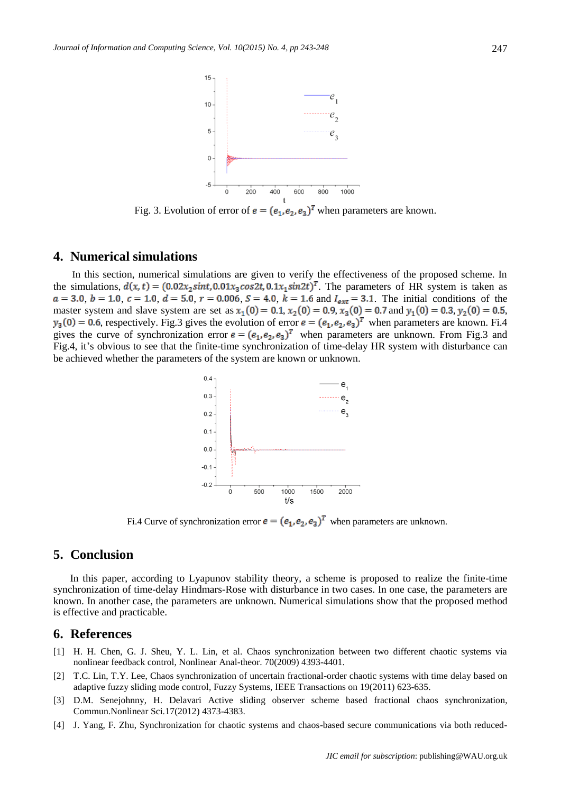

Fig. 3. Evolution of error of  $e = (e_1, e_2, e_3)^T$  when parameters are known.

#### **4. Numerical simulations**

In this section, numerical simulations are given to verify the effectiveness of the proposed scheme. In the simulations,  $d(x, t) = (0.02x_2 \sin t, 0.01x_3 \cos 2t, 0.1x_1 \sin 2t)^T$ . The parameters of HR system is taken as ,  $b = 1.0$ ,  $c = 1.0$ ,  $d = 5.0$ ,  $r = 0.006$ ,  $S = 4.0$ ,  $k = 1.6$  and  $I_{ext} = 3.1$ . The initial conditions of the master system and slave system are set as  $x_1(0) = 0.1$ ,  $x_2(0) = 0.9$ ,  $x_3(0) = 0.7$  and  $y_1(0) = 0.3$ ,  $y_2(0) = 0.5$ ,  $y_3(0) = 0.6$ , respectively. Fig.3 gives the evolution of error  $e = (e_1, e_2, e_3)^T$  when parameters are known. Fi.4 gives the curve of synchronization error  $e = (e_1, e_2, e_3)^T$  when parameters are unknown. From Fig.3 and Fig.4, it's obvious to see that the finite-time synchronization of time-delay HR system with disturbance can be achieved whether the parameters of the system are known or unknown.



Fi.4 Curve of synchronization error  $e = (e_1, e_2, e_3)^T$  when parameters are unknown.

## **5. Conclusion**

In this paper, according to Lyapunov stability theory, a scheme is proposed to realize the finite-time synchronization of time-delay Hindmars-Rose with disturbance in two cases. In one case, the parameters are known. In another case, the parameters are unknown. Numerical simulations show that the proposed method is effective and practicable.

#### **6. References**

- [1] H. H. Chen, G. J. Sheu, Y. L. Lin, et al. Chaos synchronization between two different chaotic systems via nonlinear feedback control, Nonlinear Anal-theor. 70(2009) 4393-4401.
- [2] T.C. Lin, T.Y. Lee, Chaos synchronization of uncertain fractional-order chaotic systems with time delay based on adaptive fuzzy sliding mode control, Fuzzy Systems, IEEE Transactions on 19(2011) 623-635.
- [3] D.M. Senejohnny, H. Delavari Active sliding observer scheme based fractional chaos synchronization, Commun.Nonlinear Sci.17(2012) 4373-4383.
- [4] J. Yang, F. Zhu, Synchronization for chaotic systems and chaos-based secure communications via both reduced-